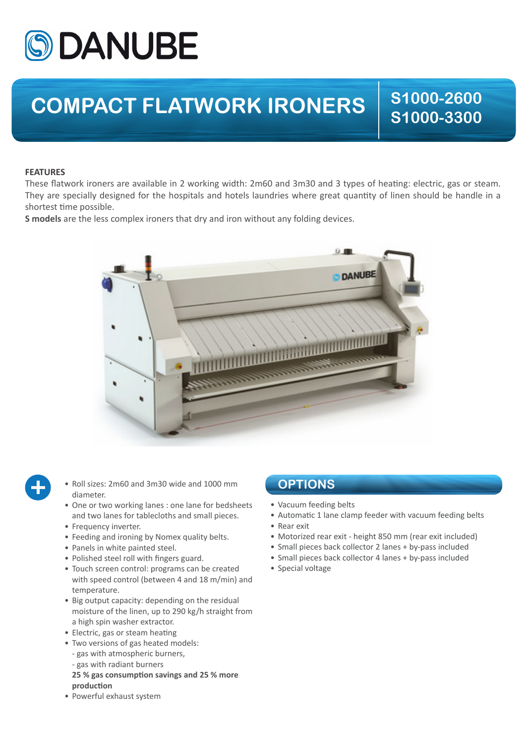

## **COMPACT FLATWORK IRONERS**  $\begin{array}{|c|c|c|c|}\hline \text{S1000-2600} \end{array}$

**S1000-3300**

## **FEATURES**

These flatwork ironers are available in 2 working width: 2m60 and 3m30 and 3 types of heating: electric, gas or steam. They are specially designed for the hospitals and hotels laundries where great quantity of linen should be handle in a shortest time possible.

**S models** are the less complex ironers that dry and iron without any folding devices.





- Roll sizes: 2m60 and 3m30 wide and 1000 mm diameter.
- One or two working lanes : one lane for bedsheets and two lanes for tablecloths and small pieces.
- Frequency inverter.
- Feeding and ironing by Nomex quality belts.
- Panels in white painted steel.
- Polished steel roll with fingers guard.
- Touch screen control: programs can be created with speed control (between 4 and 18 m/min) and temperature.
- Big output capacity: depending on the residual moisture of the linen, up to 290 kg/h straight from a high spin washer extractor.
- Electric, gas or steam heating
- Two versions of gas heated models:
- gas with atmospheric burners,
- gas with radiant burners
- **25 % gas consumption savings and 25 % more production**
- Powerful exhaust system

## **OPTIONS**

- Vacuum feeding belts
- Automatic 1 lane clamp feeder with vacuum feeding belts
- Rear exit
- Motorized rear exit height 850 mm (rear exit included)
- Small pieces back collector 2 lanes + by-pass included
- Small pieces back collector 4 lanes + by-pass included
- Special voltage